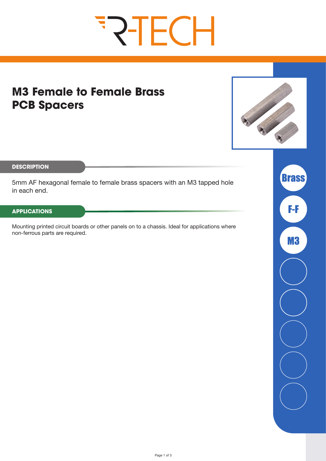# **FRIECH**

# **M3 Female to Female Brass PCB Spacers**



**DESCRIPTION**

5mm AF hexagonal female to female brass spacers with an M3 tapped hole in each end.

#### **APPLICATIONS**

Mounting printed circuit boards or other panels on to a chassis. Ideal for applications where non-ferrous parts are required.

**Brass** F-F M3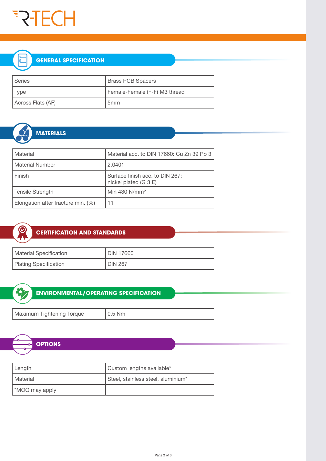

### **GENERAL SPECIFICATION**

| I Series          | <b>Brass PCB Spacers</b>      |  |  |
|-------------------|-------------------------------|--|--|
| $ $ Type          | Female-Female (F-F) M3 thread |  |  |
| Across Flats (AF) | 5 <sub>mm</sub>               |  |  |



## **MATERIALS**

| Material                           | Material acc. to DIN 17660: Cu Zn 39 Pb 3<br>2.0401      |  |  |
|------------------------------------|----------------------------------------------------------|--|--|
| <b>Material Number</b>             |                                                          |  |  |
| Finish                             | Surface finish acc. to DIN 267:<br>nickel plated (G 3 E) |  |  |
| <b>Tensile Strength</b>            | Min 430 N/mm <sup>2</sup>                                |  |  |
| Elongation after fracture min. (%) | 11                                                       |  |  |



#### **CERTIFICATION AND STANDARDS**

| Material Specification | <b>DIN 17660</b> |  |  |
|------------------------|------------------|--|--|
| Plating Specification  | <b>DIN 267</b>   |  |  |



#### **ENVIRONMENTAL/OPERATING SPECIFICATION**

Maximum Tightening Torque | 0.5 Nm



| Length         | Custom lengths available*          |  |  |
|----------------|------------------------------------|--|--|
| l Material     | Steel, stainless steel, aluminium* |  |  |
| *MOQ may apply |                                    |  |  |